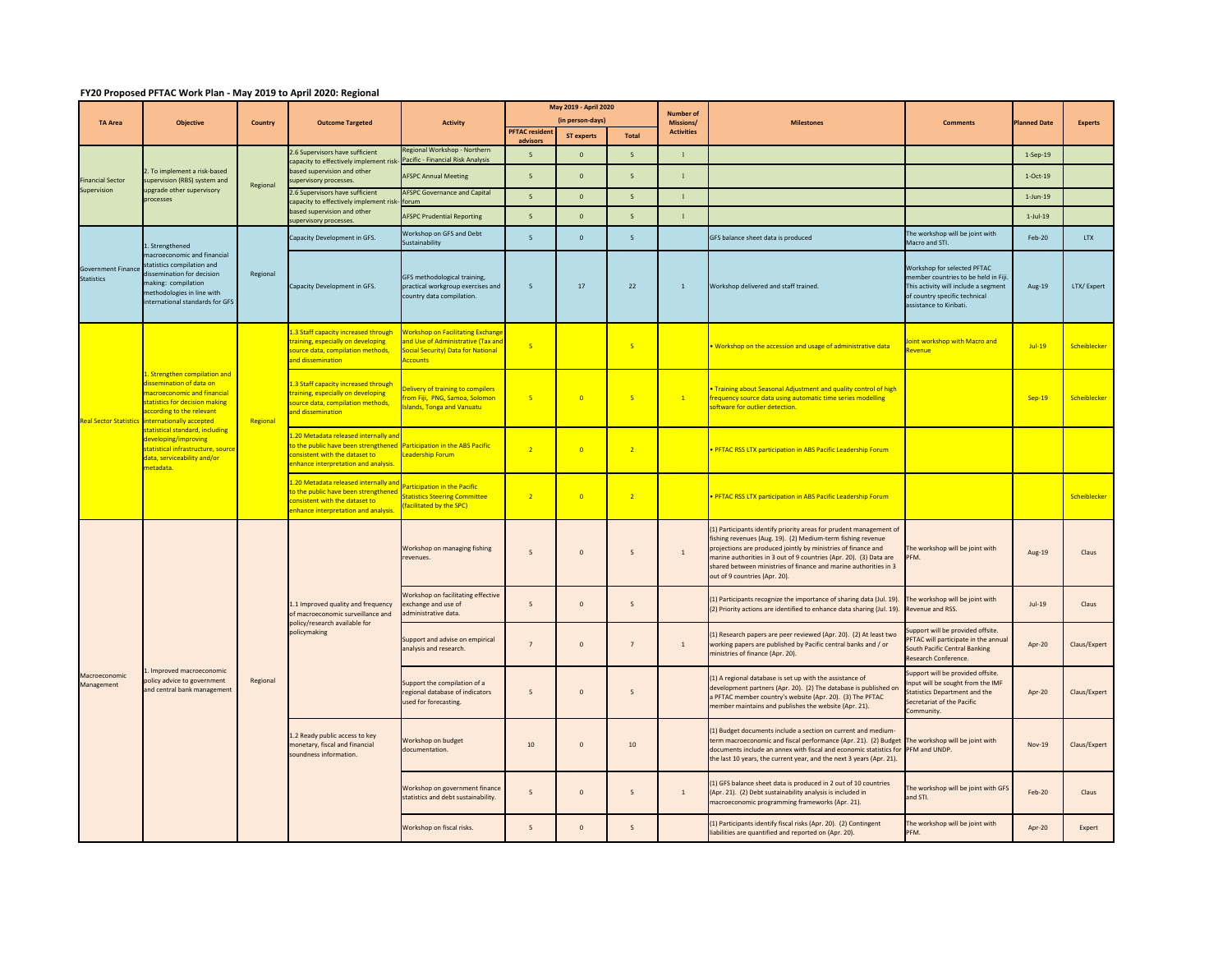## **FY20 Proposed PFTAC Work Plan ‐ May 2019 to April 2020: Regional**

| <b>TA Area</b>                                 | <b>Objective</b>                                                                                                                                                                                                                                                                                                               |                | <b>Outcome Targeted</b>                                                                                                                                                                  | <b>Activity</b>                                                                                                                         | May 2019 - April 2020                    |                   |                         | Number of                      |                                                                                                                                                                                                                                                                                                                                                                               |                                                                                                                                                                        |                     |                |
|------------------------------------------------|--------------------------------------------------------------------------------------------------------------------------------------------------------------------------------------------------------------------------------------------------------------------------------------------------------------------------------|----------------|------------------------------------------------------------------------------------------------------------------------------------------------------------------------------------------|-----------------------------------------------------------------------------------------------------------------------------------------|------------------------------------------|-------------------|-------------------------|--------------------------------|-------------------------------------------------------------------------------------------------------------------------------------------------------------------------------------------------------------------------------------------------------------------------------------------------------------------------------------------------------------------------------|------------------------------------------------------------------------------------------------------------------------------------------------------------------------|---------------------|----------------|
|                                                |                                                                                                                                                                                                                                                                                                                                | <b>Country</b> |                                                                                                                                                                                          |                                                                                                                                         | (in person-days)<br><b>PFTAC</b> residen |                   |                         | Missions/<br><b>Activities</b> | <b>Milestones</b>                                                                                                                                                                                                                                                                                                                                                             | <b>Comments</b>                                                                                                                                                        | <b>Planned Date</b> | <b>Experts</b> |
|                                                |                                                                                                                                                                                                                                                                                                                                |                |                                                                                                                                                                                          | Regional Workshop - Northern                                                                                                            | advisors                                 | <b>ST experts</b> | Total                   |                                |                                                                                                                                                                                                                                                                                                                                                                               |                                                                                                                                                                        |                     |                |
| <b>Financial Sector</b><br>Supervision         | . To implement a risk-based<br>supervision (RBS) system and<br>upgrade other supervisory<br>processes                                                                                                                                                                                                                          | Regional       | 2.6 Supervisors have sufficient<br>capacity to effectively implement risk-<br>based supervision and other<br>supervisory processes.                                                      | Pacific - Financial Risk Analysis                                                                                                       | 5 <sup>5</sup>                           | $\Omega$          | 5 <sup>5</sup>          | $\mathbf{1}$                   |                                                                                                                                                                                                                                                                                                                                                                               |                                                                                                                                                                        | $1-Sep-19$          |                |
|                                                |                                                                                                                                                                                                                                                                                                                                |                |                                                                                                                                                                                          | <b>AFSPC Annual Meeting</b>                                                                                                             | 5                                        | $\mathbf{0}$      | $\mathsf S$             | $\mathbf{1}$                   |                                                                                                                                                                                                                                                                                                                                                                               |                                                                                                                                                                        | $1-Oct-19$          |                |
|                                                |                                                                                                                                                                                                                                                                                                                                |                | 2.6 Supervisors have sufficient<br>capacity to effectively implement risk-<br>based supervision and other<br>supervisory processes.                                                      | <b>AFSPC Governance and Capital</b><br>forum                                                                                            | $\overline{5}$                           | $\mathbf{0}$      | 5 <sup>1</sup>          | $\mathbf{1}$                   |                                                                                                                                                                                                                                                                                                                                                                               |                                                                                                                                                                        | $1-Jun-19$          |                |
|                                                |                                                                                                                                                                                                                                                                                                                                |                |                                                                                                                                                                                          | <b>AFSPC Prudential Reporting</b>                                                                                                       | 5                                        | $\mathbf{0}$      | $5\overline{5}$         | $\mathbf{1}$                   |                                                                                                                                                                                                                                                                                                                                                                               |                                                                                                                                                                        | $1-Jul-19$          |                |
| <b>Government Finance</b><br><b>Statistics</b> | L. Strengthened<br>macroeconomic and financial<br>statistics compilation and<br>dissemination for decision<br>making: compilation<br>methodologies in line with<br>international standards for GFS                                                                                                                             | Regional       | Capacity Development in GFS.                                                                                                                                                             | Workshop on GFS and Debt<br>Sustainability                                                                                              | $\overline{5}$                           | $\mathbf{0}$      | 5 <sup>1</sup>          |                                | GFS balance sheet data is produced                                                                                                                                                                                                                                                                                                                                            | The workshop will be joint with<br>Macro and STL                                                                                                                       | Feb-20              | <b>LTX</b>     |
|                                                |                                                                                                                                                                                                                                                                                                                                |                | Capacity Development in GFS.                                                                                                                                                             | GFS methodological training,<br>practical workgroup exercises and<br>country data compilation.                                          | $\overline{5}$                           | 17                | 22                      | $\mathbf{1}$                   | Workshop delivered and staff trained.                                                                                                                                                                                                                                                                                                                                         | Workshop for selected PFTAC<br>member countries to be held in Fiji<br>This activity will include a segment<br>of country specific technical<br>assistance to Kiribati. | Aug-19              | LTX/Expert     |
| <b>Real Sector Statistics</b>                  | . Strengthen compilation and<br>dissemination of data on<br>nacroeconomic and financial<br>statistics for decision making<br>ccording to the relevant<br>internationally accepted<br>statistical standard, including<br>developing/improving<br>statistical infrastructure, source<br>data, serviceability and/or<br>metadata. | Regional       | 1.3 Staff capacity increased through<br>training, especially on developing<br>source data, compilation methods,<br>and dissemination                                                     | <b>Workshop on Facilitating Exchange</b><br>and Use of Administrative (Tax and<br>Social Security) Data for National<br><b>Accounts</b> | $\overline{5}$                           |                   | $\overline{\mathbf{5}}$ |                                | <b>Workshop on the accession and usage of administrative data</b>                                                                                                                                                                                                                                                                                                             | Joint workshop with Macro and<br>Revenue                                                                                                                               | $Jul-19$            | Scheiblecker   |
|                                                |                                                                                                                                                                                                                                                                                                                                |                | 1.3 Staff capacity increased through<br>raining, especially on developing<br>ource data, compilation methods,<br>and dissemination                                                       | elivery of training to compilers<br>rom Fiji, PNG, Samoa, Solomon<br>slands, Tonga and Vanuatu                                          | $\overline{5}$                           | $\overline{0}$    | -5                      | $\mathbf{1}$                   | <b>Training about Seasonal Adjustment and quality control of high</b><br>frequency source data using automatic time series modelling<br>oftware for outlier detection.                                                                                                                                                                                                        |                                                                                                                                                                        | <b>Sep-19</b>       | Scheiblecker   |
|                                                |                                                                                                                                                                                                                                                                                                                                |                | 1.20 Metadata released internally and<br>to the public have been strengthened Participation in the ABS Pacific<br>consistent with the dataset to<br>enhance interpretation and analysis. | Leadership Forum                                                                                                                        | $\overline{2}$                           | $\overline{0}$    | $\overline{2}$          |                                | PFTAC RSS LTX participation in ABS Pacific Leadership Forum                                                                                                                                                                                                                                                                                                                   |                                                                                                                                                                        |                     |                |
|                                                |                                                                                                                                                                                                                                                                                                                                |                | L.20 Metadata released internally and<br>o the public have been strengthened<br>consistent with the dataset to<br>enhance interpretation and analysis.                                   | articipation in the Pacific<br><b>Itatistics Steering Committee</b><br>facilitated by the SPC)                                          | $\overline{2}$                           | $\overline{0}$    | $\overline{2}$          |                                | PFTAC RSS LTX participation in ABS Pacific Leadership Forum                                                                                                                                                                                                                                                                                                                   |                                                                                                                                                                        |                     | Scheiblecker   |
| Macroeconomic<br>Management                    | Improved macroeconomic<br>policy advice to government<br>and central bank management                                                                                                                                                                                                                                           | Regional       | 1.1 Improved quality and frequency<br>of macroeconomic surveillance and<br>policy/research available for<br>policymaking                                                                 | Workshop on managing fishing<br>revenues.                                                                                               | 5                                        | $\mathbf 0$       | 5                       | $\mathbf{1}$                   | (1) Participants identify priority areas for prudent management of<br>fishing revenues (Aug. 19). (2) Medium-term fishing revenue<br>projections are produced jointly by ministries of finance and<br>marine authorities in 3 out of 9 countries (Apr. 20). (3) Data are<br>shared between ministries of finance and marine authorities in 3<br>out of 9 countries (Apr. 20). | The workshop will be joint with<br>PFM.                                                                                                                                | Aug-19              | Claus          |
|                                                |                                                                                                                                                                                                                                                                                                                                |                |                                                                                                                                                                                          | Workshop on facilitating effective<br>exchange and use of<br>dministrative data.                                                        | 5                                        | $\Omega$          | $\overline{5}$          |                                | (1) Participants recognize the importance of sharing data (Jul. 19).<br>(2) Priority actions are identified to enhance data sharing (Jul. 19).                                                                                                                                                                                                                                | The workshop will be joint with<br>Revenue and RSS.                                                                                                                    | $Jul-19$            | Claus          |
|                                                |                                                                                                                                                                                                                                                                                                                                |                |                                                                                                                                                                                          | Support and advise on empirical<br>analysis and research.                                                                               | $\overline{7}$                           | $\Omega$          | $\overline{7}$          | $\mathbf{1}$                   | (1) Research papers are peer reviewed (Apr. 20). (2) At least two<br>working papers are published by Pacific central banks and / or<br>ministries of finance (Apr. 20).                                                                                                                                                                                                       | support will be provided offsite.<br>PFTAC will participate in the annua<br>South Pacific Central Banking<br>Research Conference.                                      | Apr-20              | Claus/Expert   |
|                                                |                                                                                                                                                                                                                                                                                                                                |                |                                                                                                                                                                                          | Support the compilation of a<br>regional database of indicators<br>used for forecasting.                                                | 5                                        | $\mathbf{0}$      | 5                       |                                | (1) A regional database is set up with the assistance of<br>development partners (Apr. 20). (2) The database is published on<br>a PFTAC member country's website (Apr. 20). (3) The PFTAC<br>member maintains and publishes the website (Apr. 21).                                                                                                                            | Support will be provided offsite.<br>Input will be sought from the IMF<br><b>Statistics Department and the</b><br>Secretariat of the Pacific<br>Community.             | Apr-20              | Claus/Expert   |
|                                                |                                                                                                                                                                                                                                                                                                                                |                | 1.2 Ready public access to key<br>monetary, fiscal and financial<br>oundness information.                                                                                                | Workshop on budget<br>documentation.                                                                                                    | 10                                       | $\mathbf 0$       | 10                      |                                | (1) Budget documents include a section on current and medium-<br>term macroeconomic and fiscal performance (Apr. 21). (2) Budget<br>documents include an annex with fiscal and economic statistics for<br>the last 10 years, the current year, and the next 3 years (Apr. 21).                                                                                                | The workshop will be joint with<br>PFM and UNDP.                                                                                                                       | <b>Nov-19</b>       | Claus/Expert   |
|                                                |                                                                                                                                                                                                                                                                                                                                |                |                                                                                                                                                                                          | Workshop on government finance<br>statistics and debt sustainability.                                                                   | $\mathsf S$                              | $\mathbf 0$       | $5\overline{5}$         | $1\,$                          | (1) GFS balance sheet data is produced in 2 out of 10 countries<br>(Apr. 21). (2) Debt sustainability analysis is included in<br>macroeconomic programming frameworks (Apr. 21).                                                                                                                                                                                              | The workshop will be joint with GFS<br>and STI.                                                                                                                        | <b>Feb-20</b>       | Claus          |
|                                                |                                                                                                                                                                                                                                                                                                                                |                |                                                                                                                                                                                          | Workshop on fiscal risks.                                                                                                               | $\overline{5}$                           | $\Omega$          | $\overline{5}$          |                                | (1) Participants identify fiscal risks (Apr. 20). (2) Contingent<br>liabilities are quantified and reported on (Apr. 20).                                                                                                                                                                                                                                                     | The workshop will be joint with<br>PFM.                                                                                                                                | Apr-20              | Expert         |